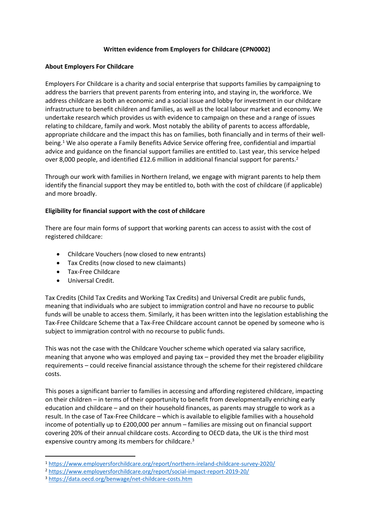# **Written evidence from Employers for Childcare (CPN0002)**

### **About Employers For Childcare**

Employers For Childcare is a charity and social enterprise that supports families by campaigning to address the barriers that prevent parents from entering into, and staying in, the workforce. We address childcare as both an economic and a social issue and lobby for investment in our childcare infrastructure to benefit children and families, as well as the local labour market and economy. We undertake research which provides us with evidence to campaign on these and a range of issues relating to childcare, family and work. Most notably the ability of parents to access affordable, appropriate childcare and the impact this has on families, both financially and in terms of their wellbeing.<sup>1</sup> We also operate a Family Benefits Advice Service offering free, confidential and impartial advice and guidance on the financial support families are entitled to. Last year, this service helped over 8,000 people, and identified £12.6 million in additional financial support for parents.<sup>2</sup>

Through our work with families in Northern Ireland, we engage with migrant parents to help them identify the financial support they may be entitled to, both with the cost of childcare (if applicable) and more broadly.

# **Eligibility for financial support with the cost of childcare**

There are four main forms of support that working parents can access to assist with the cost of registered childcare:

- Childcare Vouchers (now closed to new entrants)
- Tax Credits (now closed to new claimants)
- Tax-Free Childcare
- Universal Credit.

Tax Credits (Child Tax Credits and Working Tax Credits) and Universal Credit are public funds, meaning that individuals who are subject to immigration control and have no recourse to public funds will be unable to access them. Similarly, it has been written into the legislation establishing the Tax-Free Childcare Scheme that a Tax-Free Childcare account cannot be opened by someone who is subject to immigration control with no recourse to public funds.

This was not the case with the Childcare Voucher scheme which operated via salary sacrifice, meaning that anyone who was employed and paying tax – provided they met the broader eligibility requirements – could receive financial assistance through the scheme for their registered childcare costs.

This poses a significant barrier to families in accessing and affording registered childcare, impacting on their children – in terms of their opportunity to benefit from developmentally enriching early education and childcare – and on their household finances, as parents may struggle to work as a result. In the case of Tax-Free Childcare – which is available to eligible families with a household income of potentially up to £200,000 per annum – families are missing out on financial support covering 20% of their annual childcare costs. According to OECD data, the UK is the third most expensive country among its members for childcare.<sup>3</sup>

<sup>1</sup> <https://www.employersforchildcare.org/report/northern-ireland-childcare-survey-2020/>

<sup>2</sup> <https://www.employersforchildcare.org/report/social-impact-report-2019-20/>

<sup>3</sup> <https://data.oecd.org/benwage/net-childcare-costs.htm>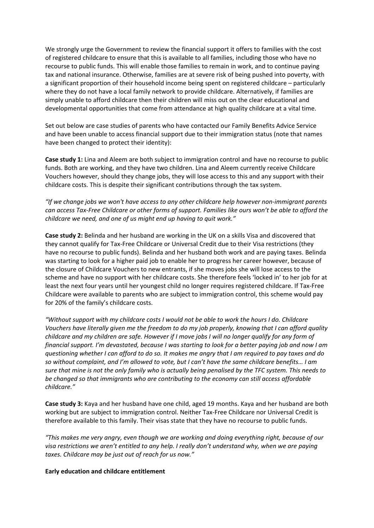We strongly urge the Government to review the financial support it offers to families with the cost of registered childcare to ensure that this is available to all families, including those who have no recourse to public funds. This will enable those families to remain in work, and to continue paying tax and national insurance. Otherwise, families are at severe risk of being pushed into poverty, with a significant proportion of their household income being spent on registered childcare – particularly where they do not have a local family network to provide childcare. Alternatively, if families are simply unable to afford childcare then their children will miss out on the clear educational and developmental opportunities that come from attendance at high quality childcare at a vital time.

Set out below are case studies of parents who have contacted our Family Benefits Advice Service and have been unable to access financial support due to their immigration status (note that names have been changed to protect their identity):

**Case study 1:** Lina and Aleem are both subject to immigration control and have no recourse to public funds. Both are working, and they have two children. Lina and Aleem currently receive Childcare Vouchers however, should they change jobs, they will lose access to this and any support with their childcare costs. This is despite their significant contributions through the tax system.

*"If we change jobs we won't have access to any other childcare help however non-immigrant parents* can access Tax-Free Childcare or other forms of support. Families like ours won't be able to afford the *childcare we need, and one of us might end up having to quit work."*

**Case study 2:** Belinda and her husband are working in the UK on a skills Visa and discovered that they cannot qualify for Tax-Free Childcare or Universal Credit due to their Visa restrictions (they have no recourse to public funds). Belinda and her husband both work and are paying taxes. Belinda was starting to look for a higher paid job to enable her to progress her career however, because of the closure of Childcare Vouchers to new entrants, if she moves jobs she will lose access to the scheme and have no support with her childcare costs. She therefore feels 'locked in' to her job for at least the next four years until her youngest child no longer requires registered childcare. If Tax-Free Childcare were available to parents who are subject to immigration control, this scheme would pay for 20% of the family's childcare costs.

*"Without support with my childcare costs I would not be able to work the hours I do. Childcare* Vouchers have literally given me the freedom to do my job properly, knowing that I can afford quality childcare and my children are safe. However if I move jobs I will no longer qualify for any form of financial support. I'm devastated, because I was starting to look for a better paying job and now I am questioning whether I can afford to do so. It makes me angry that I am required to pay taxes and do *so without complaint, and I'm allowed to vote, but I can't have the same childcare benefits… I am* sure that mine is not the only family who is actually being penalised by the TFC system. This needs to *be changed so that immigrants who are contributing to the economy can still access affordable childcare."*

**Case study 3:** Kaya and her husband have one child, aged 19 months. Kaya and her husband are both working but are subject to immigration control. Neither Tax-Free Childcare nor Universal Credit is therefore available to this family. Their visas state that they have no recourse to public funds.

*"This makes me very angry, even though we are working and doing everything right, because of our visa restrictions we aren't entitled to any help. I really don't understand why, when we are paying taxes. Childcare may be just out of reach for us now."*

### **Early education and childcare entitlement**